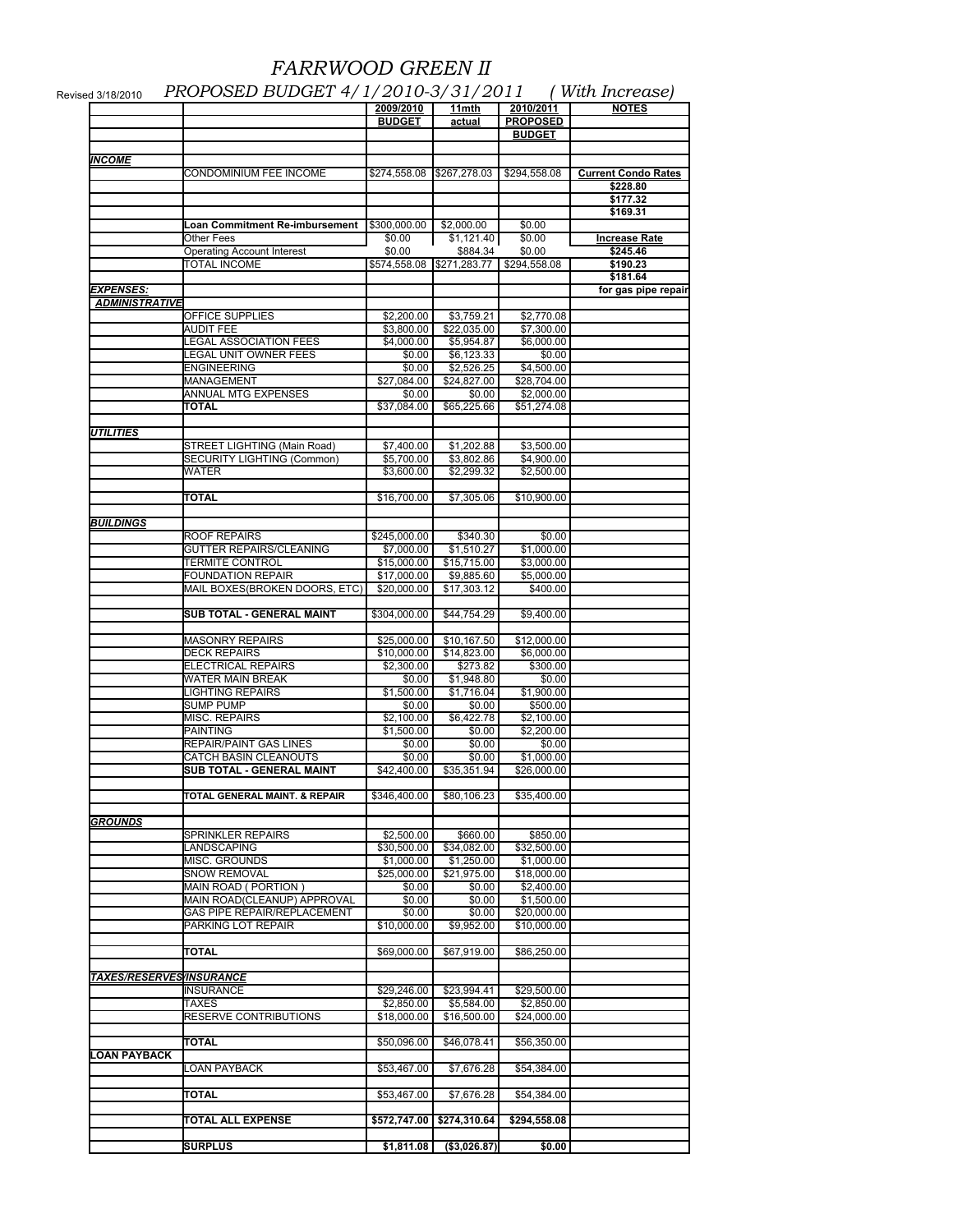## *FARRWOOD GREEN II*

|                           |                                                    | 2009/2010     | 11mth                       | 2010/2011               | <b>NOTES</b>               |
|---------------------------|----------------------------------------------------|---------------|-----------------------------|-------------------------|----------------------------|
|                           |                                                    | <b>BUDGET</b> | actual                      | <b>PROPOSED</b>         |                            |
|                           |                                                    |               |                             | <b>BUDGET</b>           |                            |
|                           |                                                    |               |                             |                         |                            |
| INCOME                    |                                                    |               |                             |                         |                            |
|                           | CONDOMINIUM FEE INCOME                             |               | \$274,558.08   \$267,278.03 | \$294,558.08            | <b>Current Condo Rates</b> |
|                           |                                                    |               |                             |                         | \$228.80                   |
|                           |                                                    |               |                             |                         | \$177.32                   |
|                           |                                                    |               |                             |                         | \$169.31                   |
|                           | Loan Commitment Re-imbursement                     | \$300,000.00  | \$2,000.00                  | \$0.00                  |                            |
|                           | Other Fees                                         | \$0.00        | \$1,121.40                  | \$0.00                  | <b>Increase Rate</b>       |
|                           | <b>Operating Account Interest</b>                  | \$0.00        | \$884.34                    | \$0.00                  | \$245.46                   |
|                           | <b>TOTAL INCOME</b>                                |               | \$574,558.08 \$271,283.77   | \$294,558.08            | \$190.23                   |
|                           |                                                    |               |                             |                         | \$181.64                   |
| <b>EXPENSES:</b>          |                                                    |               |                             |                         | for gas pipe repair        |
| <b>ADMINISTRATIVE</b>     |                                                    |               |                             |                         |                            |
|                           | OFFICE SUPPLIES                                    | \$2,200.00    | \$3,759.21                  | \$2,770.08              |                            |
|                           | AUDIT FEE                                          | \$3,800.00    | \$22,035.00                 | \$7,300.00              |                            |
|                           | LEGAL ASSOCIATION FEES                             | \$4,000.00    | \$5,954.87                  | \$6,000.00              |                            |
|                           | LEGAL UNIT OWNER FEES                              | \$0.00        | \$6,123.33                  | \$0.00                  |                            |
|                           | <b>ENGINEERING</b>                                 | \$0.00        | \$2,526.25                  | \$4,500.00              |                            |
|                           | MANAGEMENT                                         | \$27,084.00   | \$24,827.00                 | \$28,704.00             |                            |
|                           | ANNUAL MTG EXPENSES                                | \$0.00        | \$0.00                      | \$2,000.00              |                            |
|                           | TOTAL                                              | \$37,084.00   | \$65,225.66                 | \$51,274.08             |                            |
|                           |                                                    |               |                             |                         |                            |
| <b>UTILITIES</b>          |                                                    |               |                             |                         |                            |
|                           | STREET LIGHTING (Main Road)                        | \$7,400.00    | \$1,202.88                  | \$3,500.00              |                            |
|                           | <b>SECURITY LIGHTING (Common)</b>                  | \$5,700.00    | \$3,802.86                  | \$4,900.00              |                            |
|                           | WATER                                              | \$3,600.00    | \$2,299.32                  | \$2,500.00              |                            |
|                           |                                                    |               |                             |                         |                            |
|                           | TOTAL                                              | \$16,700.00   | \$7,305.06                  | \$10,900.00             |                            |
|                           |                                                    |               |                             |                         |                            |
| <b>BUILDINGS</b>          |                                                    |               |                             |                         |                            |
|                           | ROOF REPAIRS                                       | \$245,000.00  | \$340.30                    | \$0.00                  |                            |
|                           | GUTTER REPAIRS/CLEANING                            | \$7,000.00    | \$1,510.27                  | \$1,000.00              |                            |
|                           | <b>TERMITE CONTROL</b>                             | \$15,000.00   | \$15,715.00                 | \$3,000.00              |                            |
|                           | <b>FOUNDATION REPAIR</b>                           | \$17,000.00   | \$9,885.60                  | \$5,000.00              |                            |
|                           | MAIL BOXES(BROKEN DOORS, ETC)                      | \$20,000.00   | \$17,303.12                 | \$400.00                |                            |
|                           |                                                    |               |                             |                         |                            |
|                           | SUB TOTAL - GENERAL MAINT                          | \$304,000.00  | \$44,754.29                 | \$9,400.00              |                            |
|                           |                                                    |               |                             |                         |                            |
|                           | <b>MASONRY REPAIRS</b>                             | \$25,000.00   | \$10,167.50                 | \$12,000.00             |                            |
|                           | <b>DECK REPAIRS</b>                                | \$10,000.00   | \$14,823.00                 | \$6,000.00              |                            |
|                           | <b>ELECTRICAL REPAIRS</b>                          | \$2,300.00    | \$273.82                    | \$300.00                |                            |
|                           | WATER MAIN BREAK                                   | \$0.00        | \$1,948.80                  | \$0.00                  |                            |
|                           | <b>LIGHTING REPAIRS</b>                            | \$1,500.00    | \$1,716.04                  | $\overline{$1,900.00}$  |                            |
|                           | SUMP PUMP                                          | \$0.00        | \$0.00                      | \$500.00                |                            |
|                           | MISC. REPAIRS                                      | \$2,100.00    | \$6,422.78                  | \$2,100.00              |                            |
|                           | PAINTING<br>REPAIR/PAINT GAS LINES                 | \$1,500.00    | \$0.00<br>\$0.00            | \$2,200.00              |                            |
|                           |                                                    | \$0.00        |                             | \$0.00                  |                            |
|                           | CATCH BASIN CLEANOUTS<br>SUB TOTAL - GENERAL MAINT | \$0.00        | \$0.00                      | \$1,000.00              |                            |
|                           |                                                    | \$42,400.00   | \$35,351.94                 | \$26,000.00             |                            |
|                           | TOTAL GENERAL MAINT, & REPAIR                      |               | \$80,106.23                 | \$35,400.00             |                            |
|                           |                                                    | \$346,400.00  |                             |                         |                            |
| GROUNDS                   |                                                    |               |                             |                         |                            |
|                           |                                                    | \$2,500.00    | \$660.00                    |                         |                            |
|                           | SPRINKLER REPAIRS<br>LANDSCAPING                   | \$30,500.00   | \$34,082.00                 | \$850.00<br>\$32,500.00 |                            |
|                           | MISC. GROUNDS                                      | \$1,000.00    | \$1,250.00                  | \$1,000.00              |                            |
|                           | SNOW REMOVAL                                       | \$25,000.00   | \$21,975.00                 | \$18,000.00             |                            |
|                           | MAIN ROAD ( PORTION )                              | \$0.00        | \$0.00                      | \$2,400.00              |                            |
|                           | MAIN ROAD(CLEANUP) APPROVAL                        | \$0.00        | \$0.00                      | \$1,500.00              |                            |
|                           | GAS PIPE REPAIR/REPLACEMENT                        | \$0.00        | \$0.00                      | \$20,000.00             |                            |
|                           | PARKING LOT REPAIR                                 | \$10,000.00   | \$9,952.00                  | \$10,000.00             |                            |
|                           |                                                    |               |                             |                         |                            |
|                           | TOTAL                                              | \$69,000.00   | \$67,919.00                 | \$86,250.00             |                            |
|                           |                                                    |               |                             |                         |                            |
| TAXES/RESERVES /INSURANCE |                                                    |               |                             |                         |                            |
|                           | INSURANCE                                          | \$29,246.00   | \$23,994.41                 | \$29,500.00             |                            |
|                           | TAXES                                              | \$2,850.00    | \$5,584.00                  | \$2,850.00              |                            |
|                           | RESERVE CONTRIBUTIONS                              | \$18,000.00   | \$16,500.00                 | \$24,000.00             |                            |
|                           |                                                    |               |                             |                         |                            |
|                           | TOTAL                                              | \$50,096.00   | \$46,078.41                 | \$56,350.00             |                            |
| LOAN PAYBACK              |                                                    |               |                             |                         |                            |
|                           | LOAN PAYBACK                                       | \$53,467.00   | \$7,676.28                  | \$54,384.00             |                            |
|                           |                                                    |               |                             |                         |                            |
|                           | TOTAL                                              |               |                             |                         |                            |
|                           |                                                    | \$53,467.00   | \$7,676.28                  | \$54,384.00             |                            |
|                           | TOTAL ALL EXPENSE                                  |               | \$572,747.00   \$274,310.64 | \$294,558.08            |                            |
|                           |                                                    |               |                             |                         |                            |
|                           |                                                    |               |                             |                         |                            |